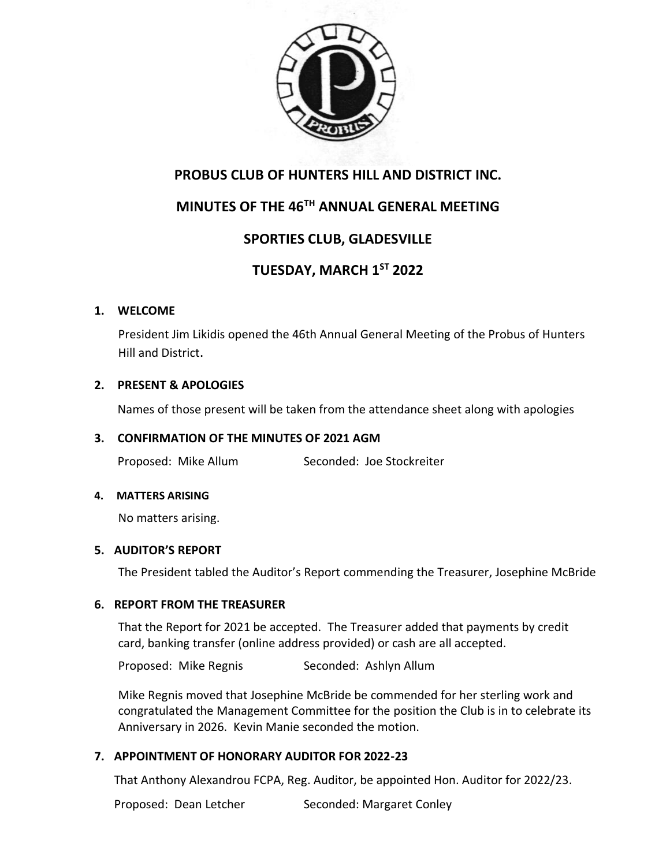

### **PROBUS CLUB OF HUNTERS HILL AND DISTRICT INC.**

# **MINUTES OF THE 46TH ANNUAL GENERAL MEETING**

## **SPORTIES CLUB, GLADESVILLE**

# **TUESDAY, MARCH 1ST 2022**

#### **1. WELCOME**

President Jim Likidis opened the 46th Annual General Meeting of the Probus of Hunters Hill and District.

### **2. PRESENT & APOLOGIES**

Names of those present will be taken from the attendance sheet along with apologies

#### **3. CONFIRMATION OF THE MINUTES OF 2021 AGM**

Proposed: Mike Allum Seconded: Joe Stockreiter

#### **4. MATTERS ARISING**

No matters arising.

#### **5. AUDITOR'S REPORT**

The President tabled the Auditor's Report commending the Treasurer, Josephine McBride

#### **6. REPORT FROM THE TREASURER**

That the Report for 2021 be accepted. The Treasurer added that payments by credit card, banking transfer (online address provided) or cash are all accepted.

Proposed: Mike Regnis Seconded: Ashlyn Allum

Mike Regnis moved that Josephine McBride be commended for her sterling work and congratulated the Management Committee for the position the Club is in to celebrate its Anniversary in 2026. Kevin Manie seconded the motion.

#### **7. APPOINTMENT OF HONORARY AUDITOR FOR 2022-23**

That Anthony Alexandrou FCPA, Reg. Auditor, be appointed Hon. Auditor for 2022/23.

Proposed: Dean Letcher Seconded: Margaret Conley